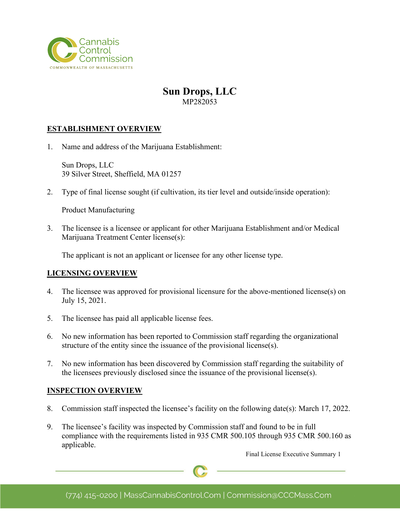

# **Sun Drops, LLC** MP282053

# **ESTABLISHMENT OVERVIEW**

1. Name and address of the Marijuana Establishment:

Sun Drops, LLC 39 Silver Street, Sheffield, MA 01257

2. Type of final license sought (if cultivation, its tier level and outside/inside operation):

Product Manufacturing

3. The licensee is a licensee or applicant for other Marijuana Establishment and/or Medical Marijuana Treatment Center license(s):

The applicant is not an applicant or licensee for any other license type.

### **LICENSING OVERVIEW**

- 4. The licensee was approved for provisional licensure for the above-mentioned license(s) on July 15, 2021.
- 5. The licensee has paid all applicable license fees.
- 6. No new information has been reported to Commission staff regarding the organizational structure of the entity since the issuance of the provisional license(s).
- 7. No new information has been discovered by Commission staff regarding the suitability of the licensees previously disclosed since the issuance of the provisional license(s).

### **INSPECTION OVERVIEW**

- 8. Commission staff inspected the licensee's facility on the following date(s): March 17, 2022.
- 9. The licensee's facility was inspected by Commission staff and found to be in full compliance with the requirements listed in 935 CMR 500.105 through 935 CMR 500.160 as applicable.

Final License Executive Summary 1

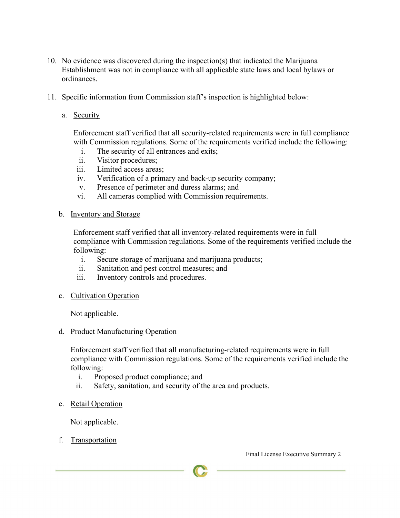- 10. No evidence was discovered during the inspection(s) that indicated the Marijuana Establishment was not in compliance with all applicable state laws and local bylaws or ordinances.
- 11. Specific information from Commission staff's inspection is highlighted below:
	- a. Security

Enforcement staff verified that all security-related requirements were in full compliance with Commission regulations. Some of the requirements verified include the following:

- i. The security of all entrances and exits;
- ii. Visitor procedures;
- iii. Limited access areas;
- iv. Verification of a primary and back-up security company;
- v. Presence of perimeter and duress alarms; and
- vi. All cameras complied with Commission requirements.
- b. Inventory and Storage

Enforcement staff verified that all inventory-related requirements were in full compliance with Commission regulations. Some of the requirements verified include the following:

- i. Secure storage of marijuana and marijuana products;
- ii. Sanitation and pest control measures; and
- iii. Inventory controls and procedures.
- c. Cultivation Operation

Not applicable.

d. Product Manufacturing Operation

Enforcement staff verified that all manufacturing-related requirements were in full compliance with Commission regulations. Some of the requirements verified include the following:

- i. Proposed product compliance; and
- ii. Safety, sanitation, and security of the area and products.
- e. Retail Operation

Not applicable.

f. Transportation

Final License Executive Summary 2